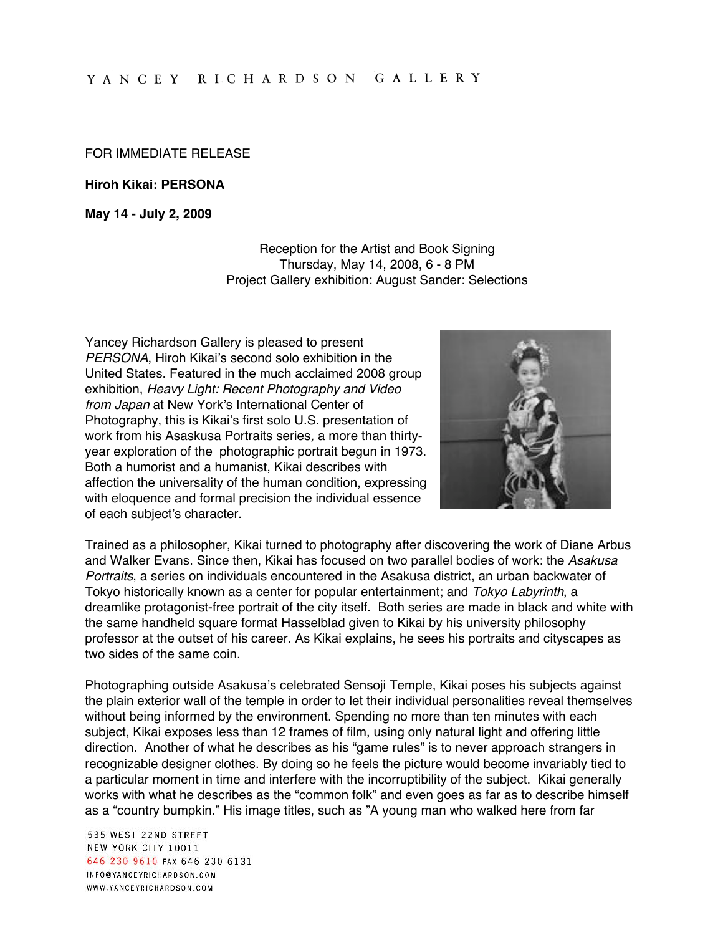## FOR IMMEDIATE RELEASE

**Hiroh Kikai: PERSONA**

**May 14 - July 2, 2009**

Reception for the Artist and Book Signing Thursday, May 14, 2008, 6 - 8 PM Project Gallery exhibition: August Sander: Selections

Yancey Richardson Gallery is pleased to present PERSONA, Hiroh Kikai's second solo exhibition in the United States. Featured in the much acclaimed 2008 group exhibition, Heavy Light: Recent Photography and Video from Japan at New York's International Center of Photography, this is Kikai's first solo U.S. presentation of work from his Asaskusa Portraits series, a more than thirtyyear exploration of the photographic portrait begun in 1973. Both a humorist and a humanist, Kikai describes with affection the universality of the human condition, expressing with eloquence and formal precision the individual essence of each subject's character.



Trained as a philosopher, Kikai turned to photography after discovering the work of Diane Arbus and Walker Evans. Since then, Kikai has focused on two parallel bodies of work: the Asakusa Portraits, a series on individuals encountered in the Asakusa district, an urban backwater of Tokyo historically known as a center for popular entertainment; and Tokyo Labyrinth, a dreamlike protagonist-free portrait of the city itself. Both series are made in black and white with the same handheld square format Hasselblad given to Kikai by his university philosophy professor at the outset of his career. As Kikai explains, he sees his portraits and cityscapes as two sides of the same coin.

Photographing outside Asakusa's celebrated Sensoji Temple, Kikai poses his subjects against the plain exterior wall of the temple in order to let their individual personalities reveal themselves without being informed by the environment. Spending no more than ten minutes with each subject, Kikai exposes less than 12 frames of film, using only natural light and offering little direction. Another of what he describes as his "game rules" is to never approach strangers in recognizable designer clothes. By doing so he feels the picture would become invariably tied to a particular moment in time and interfere with the incorruptibility of the subject. Kikai generally works with what he describes as the "common folk" and even goes as far as to describe himself as a "country bumpkin." His image titles, such as "A young man who walked here from far

535 WEST 22ND STREET NEW YORK CITY 10011 646 230 9610 FAX 646 230 6131 INFO@YANCEYRICHARDSON.COM WWW.YANCEYRICHARDSON.COM